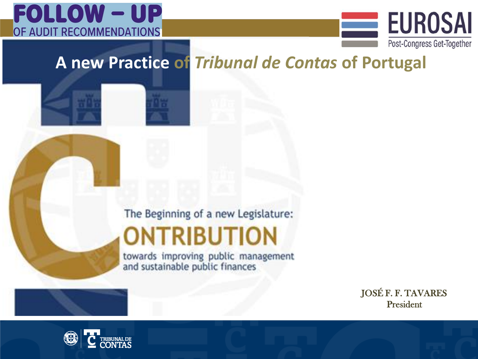



### **A new Practice of** *Tribunal de Contas* **of Portugal**

The Beginning of a new Legislature:

### **ONTRIBUTION**

towards improving public management and sustainable public finances

> JOSÉ F. F. TAVARES President

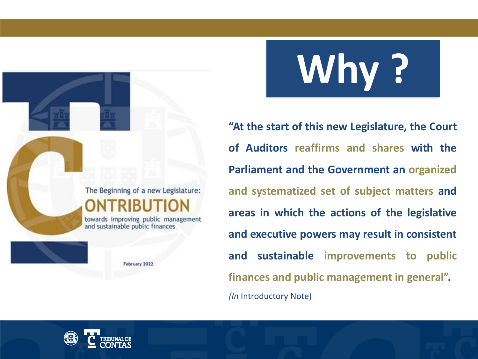# **Why ?**

**"At the start of this new Legislature, the Court of Auditors reaffirms and shares with the Parliament and the Government an organized and systematized set of subject matters and areas in which the actions of the legislative and executive powers may result in consistent and sustainable improvements to public finances and public management in general".** *(In* Introductory Note)



The Beginning of a new Legislature:

towards improving public management

February 2022

and sustainable public finances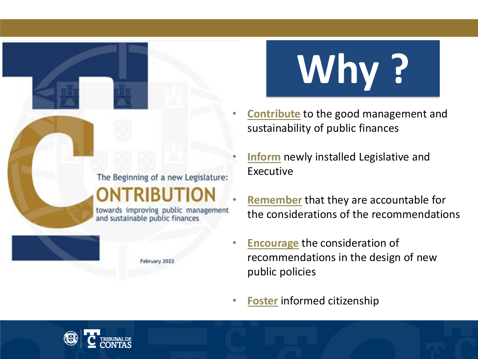

towards improving public management and sustainable public finances

February 2022



- **Contribute** to the good management and sustainability of public finances
- **Inform** newly installed Legislative and Executive
- **Remember** that they are accountable for the considerations of the recommendations
- **Encourage** the consideration of recommendations in the design of new public policies
- **Foster** informed citizenship

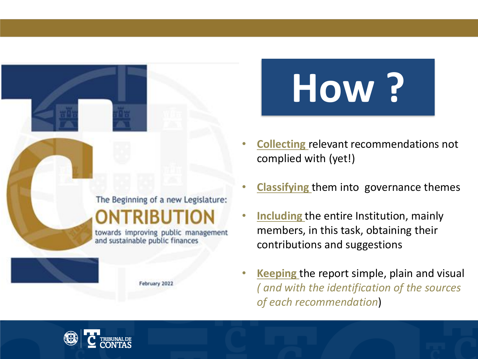

February 2022

**How ?**

- **Collecting** relevant recommendations not complied with (yet!)
- **Classifying** them into governance themes
- **Including** the entire Institution, mainly members, in this task, obtaining their contributions and suggestions
- **Keeping** the report simple, plain and visual *( and with the identification of the sources of each recommendation*)

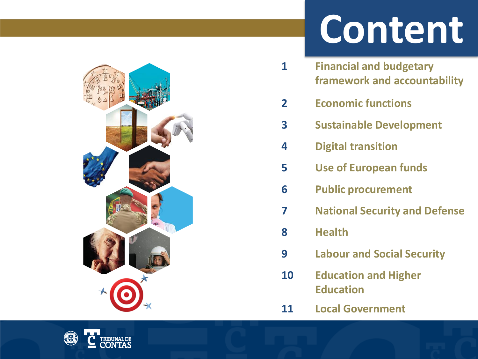### **Content**

- **Financial and budgetary framework and accountability**
- **Economic functions**
- **Sustainable Development**
- **Digital transition**
- **Use of European funds**
- **Public procurement**
- **National Security and Defense**
- **Health**
- **Labour and Social Security**
- **Education and Higher Education**
- **Local Government**

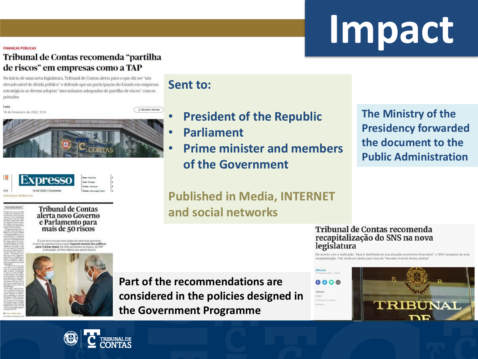## **Impact**

#### **FINANCAS PÚBLICAS**

#### Tribunal de Contas recomenda "partilha de riscos" em empresas como a TAP

No início de uma nova legislatura, Tribunal de Contas alerta para o que diz ser "um elevado nível de dívida pública" e defende que na participação do Estado em empresas estratégicas se devem adoptar "mecanismos adequados de partilha de riscos" com os privados

Lusa 18 de Fevereiro de 2022, 9:14





**Tribunal de Contas** alerta novo Governo e Parlamento para mais de 50 riscos

É a primeira vez que este órgão de soberania aproveit inicio da legislatura para pedir especial atenção dos políticos<br>para 11 áreas-chave. Do SNS aos fundos europeus, da TAP educação do Nevo Ranco aos apoios sociais



**Sent to:**

C Receber alertas

- **President of the Republic**
- **Parliament**
- **Prime minister and members of the Government**

**The Ministry of the Presidency forwarded the document to the Public Administration**

**Published in Media, INTERNET and social networks**

#### **Tribunal de Contas recomenda** recapitalização do SNS na nova legislatura

TÓPICOS **D** SNS

· dinhoiro

De acordo com a instituição. "face à debilidade da sua situação económico-financeira", o SNS necessita de uma recapitalização. Faz ainda um alerta para risco do "elevado nível de divida pública"

**Part of the recommendations are considered in the policies designed in the Government Programme**